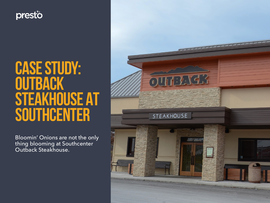

# CASE STUDY: **OUTBACK** STEAKHOUSE AT SOUTHCENTER

Bloomin' Onions are not the only thing blooming at Southcenter Outback Steakhouse.

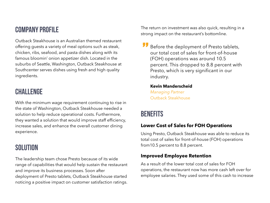# Company Profile

Outback Steakhouse is an Australian themed restaurant offering guests a variety of meal options such as steak, chicken, ribs, seafood, and pasta dishes along with its famous bloomin' onion appetizer dish. Located in the suburbs of Seattle, Washington, Outback Steakhouse at Southcenter serves dishes using fresh and high quality ingredients.

# **CHALLENGE**

With the minimum wage requirement continuing to rise in the state of Washington, Outback Steakhouse needed a solution to help reduce operational costs. Furthermore, they wanted a solution that would improve staff efficiency, increase sales, and enhance the overall customer dining experience.

## **SOLUTION**

The leadership team chose Presto because of its wide range of capabilities that would help sustain the restaurant and improve its business processes. Soon after deployment of Presto tablets, Outback Steakhouse started noticing a positive impact on customer satisfaction ratings.

The return on investment was also quick, resulting in a strong impact on the restaurant's bottomline.

Before the deployment of Presto tablets, our total cost of sales for front-of-house (FOH) operations was around 10.5 percent. This dropped to 8.8 percent with Presto, which is very significant in our industry. "<br>"<br>"

## **Kevin Manderscheid**  *Managing Partner*

Outback Steakhouse

# **BENEFITS**

## **Lower Cost of Sales for FOH Operations**

Using Presto, Outback Steakhouse was able to reduce its total cost of sales for front-of-house (FOH) operations from10.5 percent to 8.8 percent.

## **Improved Employee Retention**

As a result of the lower total cost of sales for FOH operations, the restaurant now has more cash left over for employee salaries. They used some of this cash to increase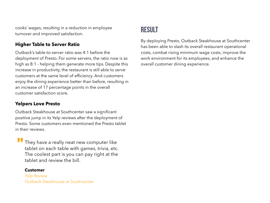cooks' wages, resulting in a reduction in employee turnover and improved satisfaction.

## **Higher Table to Server Ratio**

Outback's table-to-server ratio was 4:1 before the deployment of Presto. For some servers, the ratio now is as high as 8:1 - helping them generate more tips. Despite this increase in productivity, the restaurant is still able to serve customers at the same level of efficiency. And customers enjoy the dining experience better than before, resulting in an increase of 17 percentage points in the overall customer satisfaction score.

## **Yelpers Love Presto**

Outback Steakhouse at Southcenter saw a significant positive jump in its Yelp reviews after the deployment of Presto. Some customers even mentioned the Presto tablet in their reviews.

They have a really neat new computer like tablet on each table with games, trivia, etc. The coolest part is you can pay right at the tablet and review the bill. "<br>"<br>"

#### **Customer**

*Yelp Review* Outback Steakhouse at Southcenter

# **RESULT**

By deploying Presto, Outback Steakhouse at Southcenter has been able to slash its overall restaurant operational costs, combat rising minimum wage costs, improve the work environment for its employees, and enhance the overall customer dining experience.